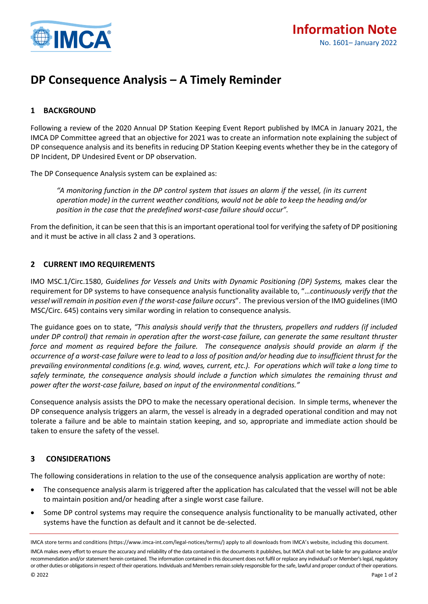

# **DP Consequence Analysis – A Timely Reminder**

# **1 BACKGROUND**

Following a review of the 2020 Annual DP Station Keeping Event Report published by IMCA in January 2021, the IMCA DP Committee agreed that an objective for 2021 was to create an information note explaining the subject of DP consequence analysis and its benefits in reducing DP Station Keeping events whether they be in the category of DP Incident, DP Undesired Event or DP observation.

The DP Consequence Analysis system can be explained as:

*"A monitoring function in the DP control system that issues an alarm if the vessel, (in its current operation mode) in the current weather conditions, would not be able to keep the heading and/or position in the case that the predefined worst-case failure should occur".*

From the definition, it can be seen that this is an important operational tool for verifying the safety of DP positioning and it must be active in all class 2 and 3 operations.

### **2 CURRENT IMO REQUIREMENTS**

IMO MSC.1/Circ.1580, *Guidelines for Vessels and Units with Dynamic Positioning (DP) Systems,* makes clear the requirement for DP systems to have consequence analysis functionality available to, "…*continuously verify that the vessel will remain in position even if the worst-case failure occurs*". The previous version of the IMO guidelines (IMO MSC/Circ. 645) contains very similar wording in relation to consequence analysis.

The guidance goes on to state, *"This analysis should verify that the thrusters, propellers and rudders (if included under DP control) that remain in operation after the worst-case failure, can generate the same resultant thruster force and moment as required before the failure. The consequence analysis should provide an alarm if the occurrence of a worst-case failure were to lead to a loss of position and/or heading due to insufficient thrust for the prevailing environmental conditions (e.g. wind, waves, current, etc.). For operations which will take a long time to safely terminate, the consequence analysis should include a function which simulates the remaining thrust and power after the worst-case failure, based on input of the environmental conditions."*

Consequence analysis assists the DPO to make the necessary operational decision. In simple terms, whenever the DP consequence analysis triggers an alarm, the vessel is already in a degraded operational condition and may not tolerate a failure and be able to maintain station keeping, and so, appropriate and immediate action should be taken to ensure the safety of the vessel.

# **3 CONSIDERATIONS**

The following considerations in relation to the use of the consequence analysis application are worthy of note:

- The consequence analysis alarm is triggered after the application has calculated that the vessel will not be able to maintain position and/or heading after a single worst case failure.
- Some DP control systems may require the consequence analysis functionality to be manually activated, other systems have the function as default and it cannot be de-selected.

IMCA store terms and conditions (https://www.imca-int.com/legal-notices/terms/) apply to all downloads from IMCA's website, including this document. IMCA makes every effort to ensure the accuracy and reliability of the data contained in the documents it publishes, but IMCA shall not be liable for any guidance and/or recommendation and/or statement herein contained. The information contained in this document does not fulfil or replace any individual's or Member's legal, regulatory or other duties or obligations in respect of their operations. Individuals and Members remain solely responsible for the safe, lawful and proper conduct of their operations.